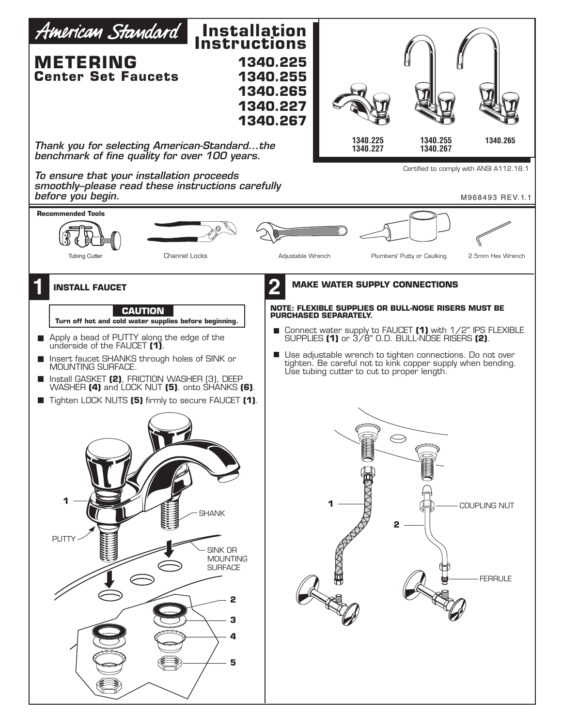